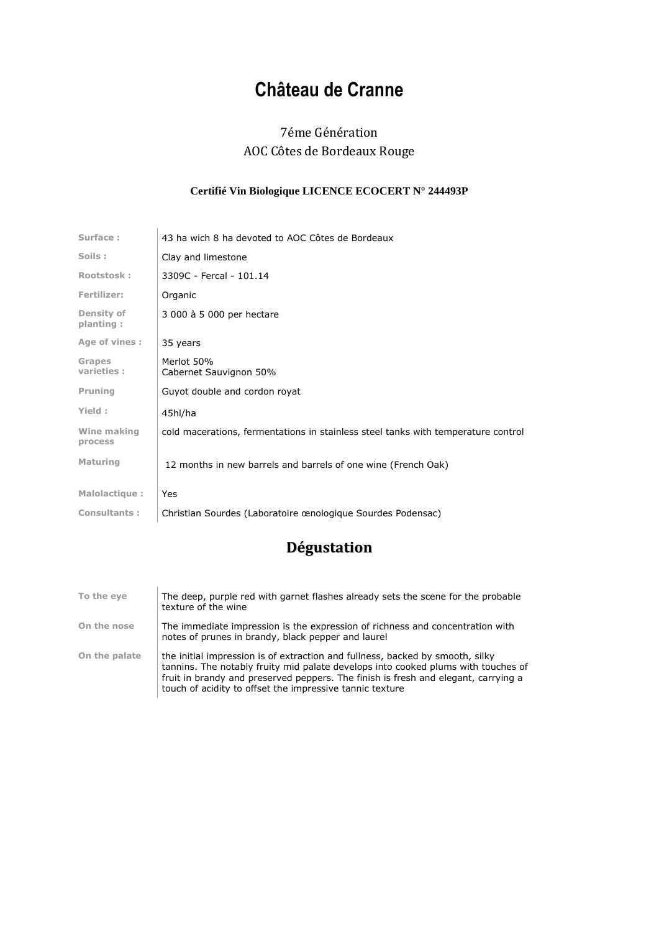## **Château de Cranne**

## 7éme Génération AOC Côtes de Bordeaux Rouge

## **Certifié Vin Biologique LICENCE ECOCERT N° 244493P**

| Surface:                       | 43 ha wich 8 ha devoted to AOC Côtes de Bordeaux                                  |
|--------------------------------|-----------------------------------------------------------------------------------|
| Soils:                         | Clay and limestone                                                                |
| Rootstosk:                     | 3309C - Fercal - 101.14                                                           |
| Fertilizer:                    | Organic                                                                           |
| <b>Density of</b><br>planting: | 3 000 à 5 000 per hectare                                                         |
| Age of vines :                 | 35 years                                                                          |
| <b>Grapes</b><br>varieties:    | Merlot 50%<br>Cabernet Sauvignon 50%                                              |
| Pruning                        | Guyot double and cordon royat                                                     |
| Yield:                         | 45hl/ha                                                                           |
| Wine making<br>process         | cold macerations, fermentations in stainless steel tanks with temperature control |
| <b>Maturing</b>                | 12 months in new barrels and barrels of one wine (French Oak)                     |
| Malolactique:                  | Yes                                                                               |
| <b>Consultants:</b>            | Christian Sourdes (Laboratoire œnologique Sourdes Podensac)                       |

## **Dégustation**

| To the eye    | The deep, purple red with garnet flashes already sets the scene for the probable<br>texture of the wine                                                                                                                                                                                                              |
|---------------|----------------------------------------------------------------------------------------------------------------------------------------------------------------------------------------------------------------------------------------------------------------------------------------------------------------------|
| On the nose   | The immediate impression is the expression of richness and concentration with<br>notes of prunes in brandy, black pepper and laurel                                                                                                                                                                                  |
| On the palate | the initial impression is of extraction and fullness, backed by smooth, silky<br>tannins. The notably fruity mid palate develops into cooked plums with touches of<br>fruit in brandy and preserved peppers. The finish is fresh and elegant, carrying a<br>touch of acidity to offset the impressive tannic texture |